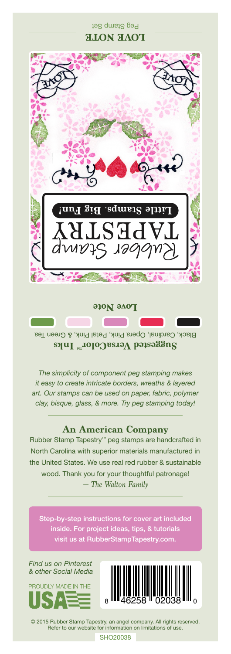## Peg Stamp Set **LOVE NOTE**



Black, Cardinal, Opera Pink, Petal Pink, & Green Tea **Suggested VersaColor** Inks

**Love Note** 

*The simplicity of component peg stamping makes it easy to create intricate borders, wreaths & layered art. Our stamps can be used on paper, fabric, polymer clay, bisque, glass, & more. Try peg stamping today!*

## **An American Company**

*— The Walton Family* Rubber Stamp Tapestry™ peg stamps are handcrafted in North Carolina with superior materials manufactured in the United States. We use real red rubber & sustainable wood. Thank you for your thoughtful patronage!

Step-by-step instructions for cover art included inside. For project ideas, tips, & tutorials

*Find us on Pinterest & other Social Media*





© 2015 Rubber Stamp Tapestry, an angel company. All rights reserved. Refer to our website for information on limitations of use.